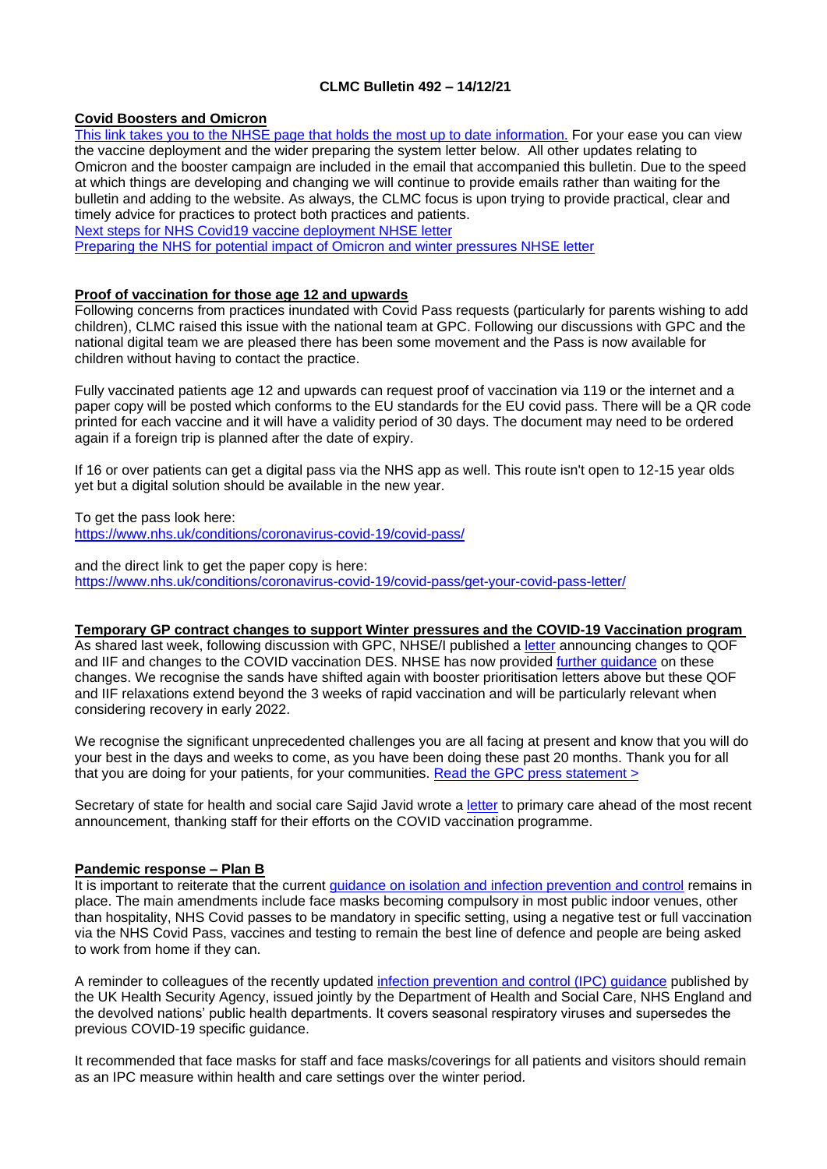# **CLMC Bulletin 492 – 14/12/21**

## **Covid Boosters and Omicron**

[This link takes you to the NHSE page that holds the most up to date information.](https://www.england.nhs.uk/coronavirus/covid-19-vaccination-programme/primary-care-guidance/) For your ease you can view the vaccine deployment and the wider preparing the system letter below. All other updates relating to Omicron and the booster campaign are included in the email that accompanied this bulletin. Due to the speed at which things are developing and changing we will continue to provide emails rather than waiting for the bulletin and adding to the website. As always, the CLMC focus is upon trying to provide practical, clear and timely advice for practices to protect both practices and patients.

[Next steps for NHS Covid19 vaccine deployment NHSE letter](https://www.clevelandlmc.org.uk/website/IGP367/files/C1488_Letter%20re%20Next%20steps%20for%20the%20NHS%20COVID-19%20vaccine%20deployment_131221.pdf)

[Preparing the NHS for potential impact of Omicron and winter pressures NHSE letter](https://www.clevelandlmc.org.uk/website/IGP367/files/2.pdf)

## **Proof of vaccination for those age 12 and upwards**

Following concerns from practices inundated with Covid Pass requests (particularly for parents wishing to add children), CLMC raised this issue with the national team at GPC. Following our discussions with GPC and the national digital team we are pleased there has been some movement and the Pass is now available for children without having to contact the practice.

Fully vaccinated patients age 12 and upwards can request proof of vaccination via 119 or the internet and a paper copy will be posted which conforms to the EU standards for the EU covid pass. There will be a QR code printed for each vaccine and it will have a validity period of 30 days. The document may need to be ordered again if a foreign trip is planned after the date of expiry.

If 16 or over patients can get a digital pass via the NHS app as well. This route isn't open to 12-15 year olds yet but a digital solution should be available in the new year.

To get the pass look here: [https://www.nhs.uk/conditions/coronavirus-covid-19/covid-pass/](https://www.nhs.uk/conditions/coronavirus-covid-19/covid-pass)

and the direct link to get the paper copy is here: [https://www.nhs.uk/conditions/coronavirus-covid-19/covid-pass/get-your-covid-pass-letter/](https://www.nhs.uk/conditions/coronavirus-covid-19/covid-pass/get-your-covid-pass-letter)

## **Temporary GP contract changes to support Winter pressures and the COVID-19 Vaccination program**

As shared last week, following discussion with GPC, NHSE/I published a [letter](https://bma-mail.org.uk/t/JVX-7NKHA-JCJOU4-4NFFHU-1/c.aspx) announcing changes to QOF and IIF and changes to the COVID vaccination DES. NHSE has now provided [further guidance](https://bma-mail.org.uk/t/JVX-7NKHA-JCJOU4-4NFFHV-1/c.aspx) on these changes. We recognise the sands have shifted again with booster prioritisation letters above but these QOF and IIF relaxations extend beyond the 3 weeks of rapid vaccination and will be particularly relevant when considering recovery in early 2022.

We recognise the significant unprecedented challenges you are all facing at present and know that you will do your best in the days and weeks to come, as you have been doing these past 20 months. Thank you for all that you are doing for your patients, for your communities. [Read the GPC press statement >](https://bma-mail.org.uk/t/JVX-7NKHA-JCJOU4-4NFFHW-1/c.aspx)

Secretary of state for health and social care Sajid Javid wrote a [letter](https://bma-mail.org.uk/t/JVX-7NKHA-JCJOU4-4NFFHX-1/c.aspx) to primary care ahead of the most recent announcement, thanking staff for their efforts on the COVID vaccination programme.

## **Pandemic response – Plan B**

It is important to reiterate that the current [guidance on isolation and infection prevention and control](https://bma-mail.org.uk/t/JVX-7NKHA-JCJOU4-4NFFQT-1/c.aspx) remains in place. The main amendments include face masks becoming compulsory in most public indoor venues, other than hospitality, NHS Covid passes to be mandatory in specific setting, using a negative test or full vaccination via the NHS Covid Pass, vaccines and testing to remain the best line of defence and people are being asked to work from home if they can.

A reminder to colleagues of the recently updated [infection prevention and control \(IPC\) guidance](https://www.gov.uk/government/publications/wuhan-novel-coronavirus-infection-prevention-and-control/covid-19-guidance-for-maintaining-services-within-health-and-care-settings-infection-prevention-and-control-recommendations) published by the UK Health Security Agency, issued jointly by the Department of Health and Social Care, NHS England and the devolved nations' public health departments. It covers seasonal respiratory viruses and supersedes the previous COVID-19 specific guidance.

It recommended that face masks for staff and face masks/coverings for all patients and visitors should remain as an IPC measure within health and care settings over the winter period.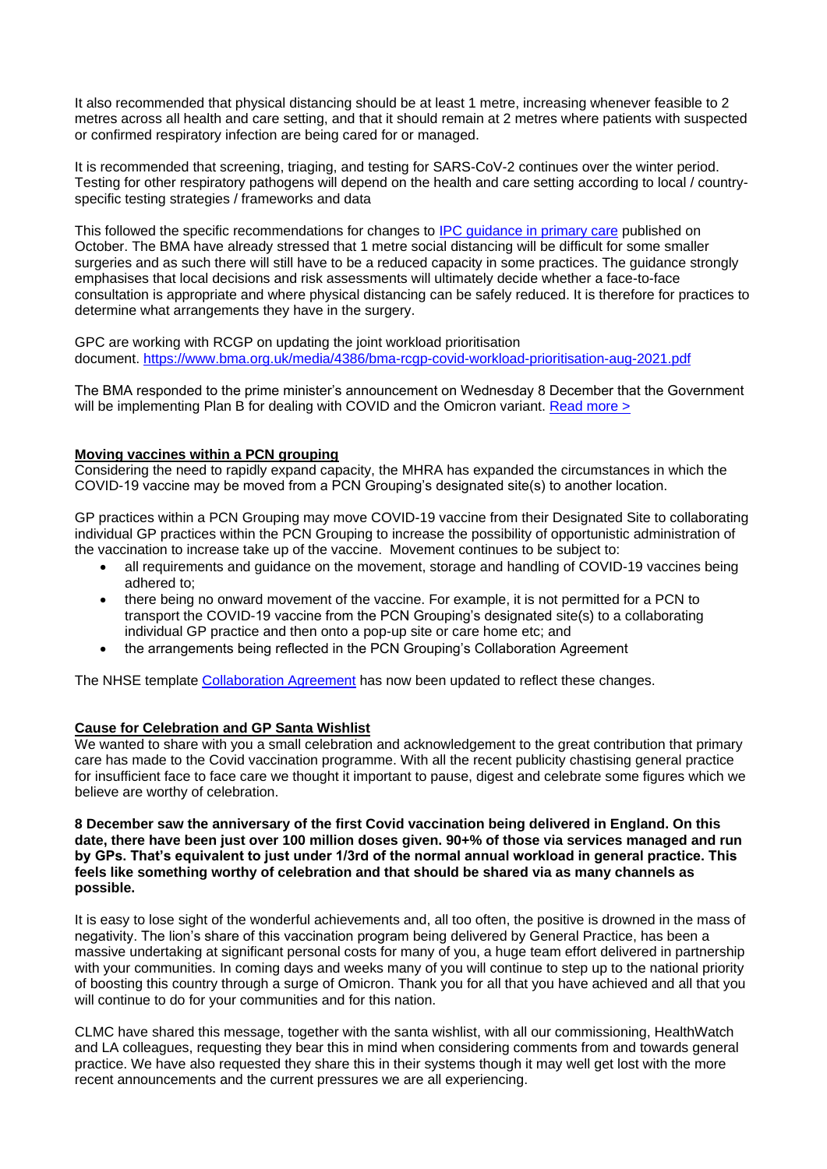It also recommended that physical distancing should be at least 1 metre, increasing whenever feasible to 2 metres across all health and care setting, and that it should remain at 2 metres where patients with suspected or confirmed respiratory infection are being cared for or managed.

It is recommended that screening, triaging, and testing for SARS-CoV-2 continues over the winter period. Testing for other respiratory pathogens will depend on the health and care setting according to local / countryspecific testing strategies / frameworks and data

This followed the specific recommendations for changes to [IPC guidance in primary care](https://www.gov.uk/government/publications/ukhsa-review-into-ipc-guidance/recommendation-4-a-more-flexible-approach-to-patient-consultations-in-primary-care-and-general-practice) published on October. The BMA have already stressed that 1 metre social distancing will be difficult for some smaller surgeries and as such there will still have to be a reduced capacity in some practices. The guidance strongly emphasises that local decisions and risk assessments will ultimately decide whether a face-to-face consultation is appropriate and where physical distancing can be safely reduced. It is therefore for practices to determine what arrangements they have in the surgery.

GPC are working with RCGP on updating the joint workload prioritisation document. <https://www.bma.org.uk/media/4386/bma-rcgp-covid-workload-prioritisation-aug-2021.pdf>

The BMA responded to the prime minister's announcement on Wednesday 8 December that the Government will be implementing Plan B for dealing with COVID and the Omicron variant. [Read more >](https://bma-mail.org.uk/t/JVX-7NKHA-JCJOU4-4NFFQS-1/c.aspx)

## **Moving vaccines within a PCN grouping**

Considering the need to rapidly expand capacity, the MHRA has expanded the circumstances in which the COVID-19 vaccine may be moved from a PCN Grouping's designated site(s) to another location.

GP practices within a PCN Grouping may move COVID-19 vaccine from their Designated Site to collaborating individual GP practices within the PCN Grouping to increase the possibility of opportunistic administration of the vaccination to increase take up of the vaccine. Movement continues to be subject to:

- all requirements and quidance on the movement, storage and handling of COVID-19 vaccines being adhered to;
- there being no onward movement of the vaccine. For example, it is not permitted for a PCN to transport the COVID-19 vaccine from the PCN Grouping's designated site(s) to a collaborating individual GP practice and then onto a pop-up site or care home etc; and
- the arrangements being reflected in the PCN Grouping's Collaboration Agreement

The NHSE template [Collaboration Agreement](https://www.england.nhs.uk/publication/covid-19-vaccination-programme-2020-21-covid-19-enhanced-service-vaccination-collaboration-agreement/) has now been updated to reflect these changes.

## **Cause for Celebration and GP Santa Wishlist**

We wanted to share with you a small celebration and acknowledgement to the great contribution that primary care has made to the Covid vaccination programme. With all the recent publicity chastising general practice for insufficient face to face care we thought it important to pause, digest and celebrate some figures which we believe are worthy of celebration.

### **8 December saw the anniversary of the first Covid vaccination being delivered in England. On this date, there have been just over 100 million doses given. 90+% of those via services managed and run by GPs. That's equivalent to just under 1/3rd of the normal annual workload in general practice. This feels like something worthy of celebration and that should be shared via as many channels as possible.**

It is easy to lose sight of the wonderful achievements and, all too often, the positive is drowned in the mass of negativity. The lion's share of this vaccination program being delivered by General Practice, has been a massive undertaking at significant personal costs for many of you, a huge team effort delivered in partnership with your communities. In coming days and weeks many of you will continue to step up to the national priority of boosting this country through a surge of Omicron. Thank you for all that you have achieved and all that you will continue to do for your communities and for this nation.

CLMC have shared this message, together with the santa wishlist, with all our commissioning, HealthWatch and LA colleagues, requesting they bear this in mind when considering comments from and towards general practice. We have also requested they share this in their systems though it may well get lost with the more recent announcements and the current pressures we are all experiencing.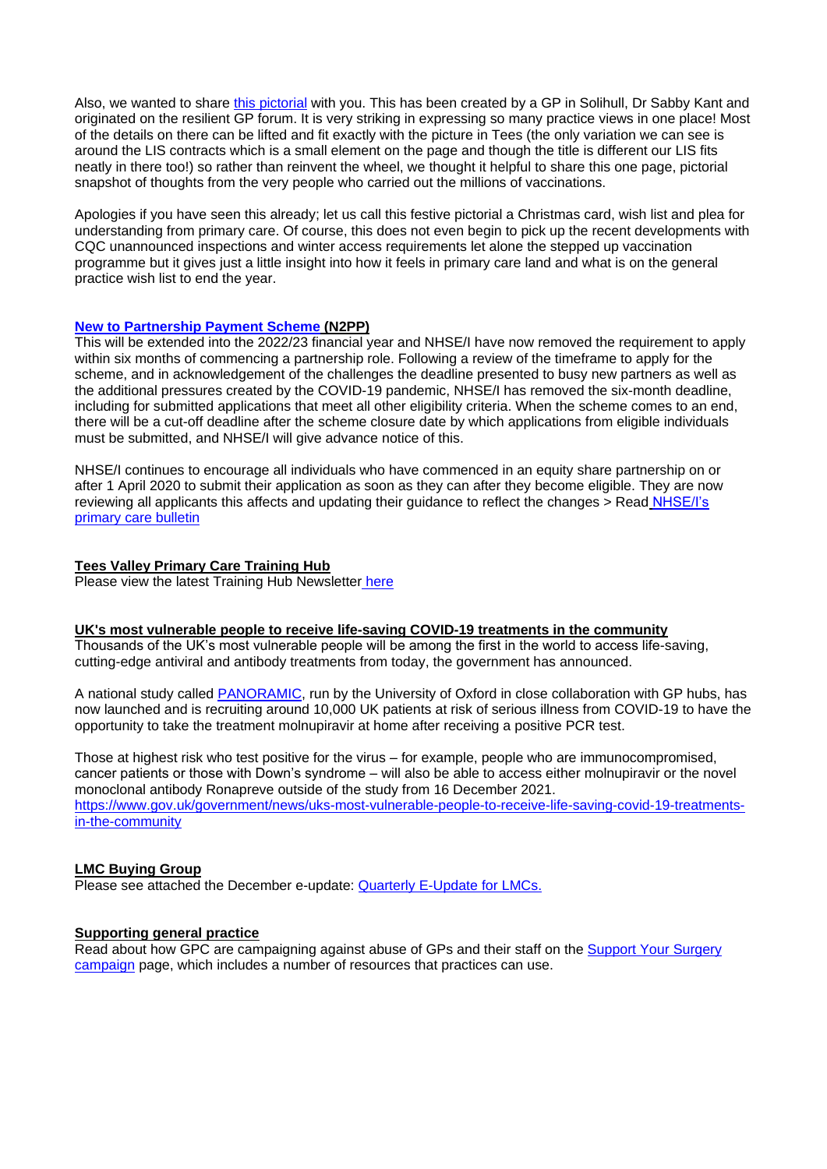Also, we wanted to share [this pictorial](https://www.clevelandlmc.org.uk/website/IGP367/files/Doc1.docx) with you. This has been created by a GP in Solihull, Dr Sabby Kant and originated on the resilient GP forum. It is very striking in expressing so many practice views in one place! Most of the details on there can be lifted and fit exactly with the picture in Tees (the only variation we can see is around the LIS contracts which is a small element on the page and though the title is different our LIS fits neatly in there too!) so rather than reinvent the wheel, we thought it helpful to share this one page, pictorial snapshot of thoughts from the very people who carried out the millions of vaccinations.

Apologies if you have seen this already; let us call this festive pictorial a Christmas card, wish list and plea for understanding from primary care. Of course, this does not even begin to pick up the recent developments with CQC unannounced inspections and winter access requirements let alone the stepped up vaccination programme but it gives just a little insight into how it feels in primary care land and what is on the general practice wish list to end the year.

## **[New to Partnership Payment Scheme](https://generalpracticebulletin.createsend1.com/t/d-l-addvht-juxdhitut-q/) (N2PP)**

This will be extended into the 2022/23 financial year and NHSE/I have now removed the requirement to apply within six months of commencing a partnership role. Following a review of the timeframe to apply for the scheme, and in acknowledgement of the challenges the deadline presented to busy new partners as well as the additional pressures created by the COVID-19 pandemic, NHSE/I has removed the six-month deadline, including for submitted applications that meet all other eligibility criteria. When the scheme comes to an end, there will be a cut-off deadline after the scheme closure date by which applications from eligible individuals must be submitted, and NHSE/I will give advance notice of this.

NHSE/I continues to encourage all individuals who have commenced in an equity share partnership on or after 1 April 2020 to submit their application as soon as they can after they become eligible. They are now reviewing all applicants this affects and updating their guidance to reflect the changes > Read [NHSE/I's](https://generalpracticebulletin.cmail20.com/t/ViewEmail/d/461D9B617B113F0D2540EF23F30FEDED/596E6203977D55FEF1E87EB810D8F10A?alternativeLink=False)  [primary care bulletin](https://generalpracticebulletin.cmail20.com/t/ViewEmail/d/461D9B617B113F0D2540EF23F30FEDED/596E6203977D55FEF1E87EB810D8F10A?alternativeLink=False)

## **Tees Valley Primary Care Training Hub**

Please view the latest Training Hub Newsletter [here](../Desktop/Primary%20Care%20Training%20Hub%20Newsletter%20December.pdf)

## **UK's most vulnerable people to receive life-saving COVID-19 treatments in the community**

Thousands of the UK's most vulnerable people will be among the first in the world to access life-saving, cutting-edge antiviral and antibody treatments from today, the government has announced.

A national study called [PANORAMIC,](https://www.panoramictrial.org/) run by the University of Oxford in close collaboration with GP hubs, has now launched and is recruiting around 10,000 UK patients at risk of serious illness from COVID-19 to have the opportunity to take the treatment molnupiravir at home after receiving a positive PCR test.

Those at highest risk who test positive for the virus – for example, people who are immunocompromised, cancer patients or those with Down's syndrome – will also be able to access either molnupiravir or the novel monoclonal antibody Ronapreve outside of the study from 16 December 2021. [https://www.gov.uk/government/news/uks-most-vulnerable-people-to-receive-life-saving-covid-19-treatments](https://www.gov.uk/government/news/uks-most-vulnerable-people-to-receive-life-saving-covid-19-treatments-in-the-community)[in-the-community](https://www.gov.uk/government/news/uks-most-vulnerable-people-to-receive-life-saving-covid-19-treatments-in-the-community)

## **LMC Buying Group**

Please see attached the December e-update: [Quarterly E-Update for LMCs.](https://us11.campaign-archive.com/?e=__test_email__&u=ae8a08663d8d6e1465569f620&id=38d9333b06)

## **Supporting general practice**

Read about how GPC are campaigning against abuse of GPs and their staff on the [Support Your Surgery](https://www.bma.org.uk/advice-and-support/covid-19/gp-practices/support-your-surgery)  [campaign](https://www.bma.org.uk/advice-and-support/covid-19/gp-practices/support-your-surgery) page, which includes a number of resources that practices can use.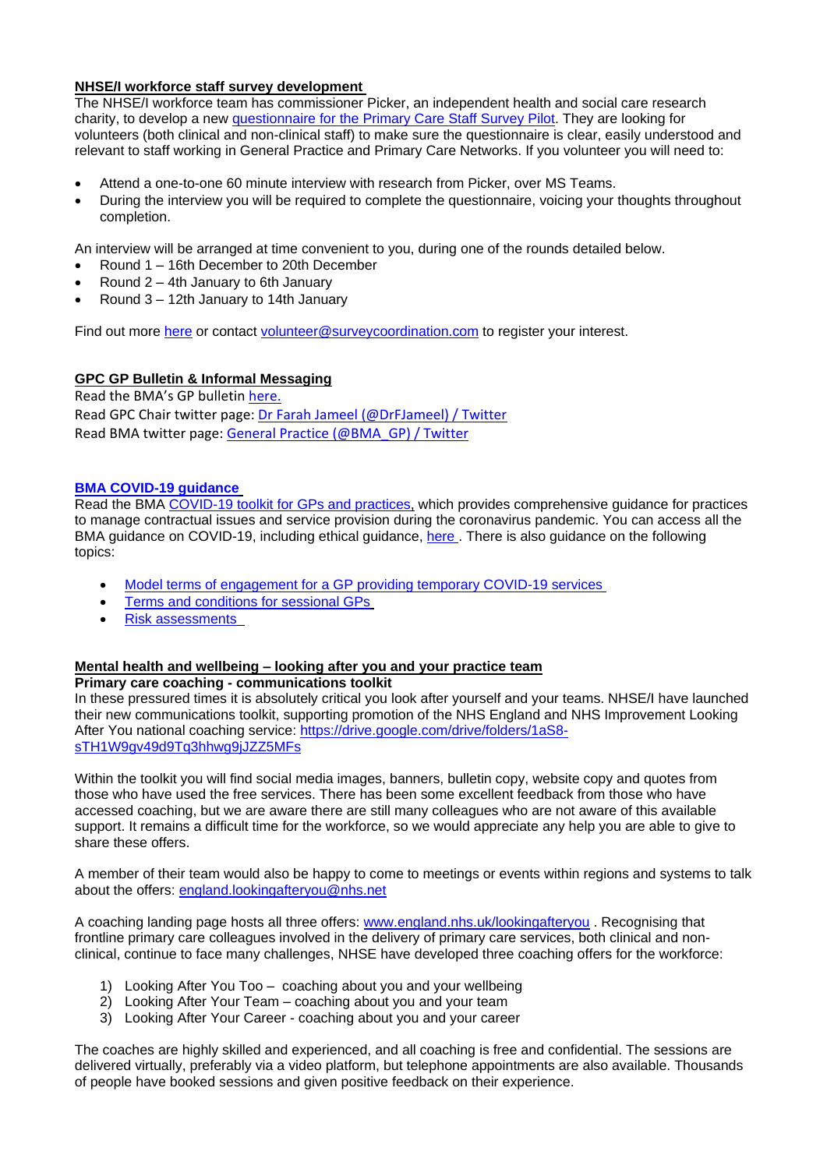# **NHSE/I workforce staff survey development**

The NHSE/I workforce team has commissioner Picker, an independent health and social care research charity, to develop a new [questionnaire for the Primary Care Staff Survey Pilot.](https://www.picker.org/staff-survey-in-primary-care/) They are looking for volunteers (both clinical and non-clinical staff) to make sure the questionnaire is clear, easily understood and relevant to staff working in General Practice and Primary Care Networks. If you volunteer you will need to:

- Attend a one-to-one 60 minute interview with research from Picker, over MS Teams.
- During the interview you will be required to complete the questionnaire, voicing your thoughts throughout completion.

An interview will be arranged at time convenient to you, during one of the rounds detailed below.

- Round 1 16th December to 20th December
- Round 2 4th January to 6th January
- Round 3 12th January to 14th January

Find out more [here](https://www.picker.org/staff-survey-in-primary-care/) or contact [volunteer@surveycoordination.com](mailto:volunteer@surveycoordination.com) to register your interest.

## **GPC GP Bulletin & Informal Messaging**

Read the BMA's GP bulletin [here.](https://bma-mail.org.uk/t/JVX-7NKHA-EC5E0CEA0D8A5317JCJOU4BA186991484320BE/cr.aspx) Read GPC Chair twitter page: [Dr Farah Jameel \(@DrFJameel\) / Twitter](https://twitter.com/DrFJameel) Read BMA twitter page: [General Practice \(@BMA\\_GP\) / Twitter](https://twitter.com/BMA_GP)

## **[BMA COVID-19 guidance](https://www.bma.org.uk/advice-and-support/covid-19)**

Read the BMA [COVID-19 toolkit for GPs and practices,](https://www.bma.org.uk/advice-and-support/covid-19/practical-guidance/covid-19-toolkit-for-gps-and-gp-practices) which provides comprehensive guidance for practices to manage contractual issues and service provision during the coronavirus pandemic. You can access all the BMA guidance on COVID-19, including ethical guidance, [here](https://www.bma.org.uk/advice-and-support/covid-19) . There is also guidance on the following topics:

- [Model terms of engagement for a GP providing temporary COVID-19 services](https://www.bma.org.uk/advice-and-support/covid-19/your-contract/covid-19-model-terms-for-gps)
- [Terms and conditions for sessional GPs](https://www.bma.org.uk/advice-and-support/covid-19/your-contract/covid-19-your-terms-and-conditions/your-terms-and-conditions-sessional-gps)
- [Risk assessments](https://www.bma.org.uk/advice-and-support/covid-19/your-health/covid-19-risk-assessment)

# **Mental health and wellbeing – looking after you and your practice team**

## **Primary care coaching - communications toolkit**

In these pressured times it is absolutely critical you look after yourself and your teams. NHSE/I have launched their new communications toolkit, supporting promotion of the NHS England and NHS Improvement Looking After You national coaching service: [https://drive.google.com/drive/folders/1aS8](https://drive.google.com/drive/folders/1aS8-sTH1W9gv49d9Tq3hhwg9jJZZ5MFs) [sTH1W9gv49d9Tq3hhwg9jJZZ5MFs](https://drive.google.com/drive/folders/1aS8-sTH1W9gv49d9Tq3hhwg9jJZZ5MFs)

Within the toolkit you will find social media images, banners, bulletin copy, website copy and quotes from those who have used the free services. There has been some excellent feedback from those who have accessed coaching, but we are aware there are still many colleagues who are not aware of this available support. It remains a difficult time for the workforce, so we would appreciate any help you are able to give to share these offers.

A member of their team would also be happy to come to meetings or events within regions and systems to talk about the offers: [england.lookingafteryou@nhs.net](mailto:england.lookingafteryou@nhs.net)

A coaching landing page hosts all three offers: [www.england.nhs.uk/lookingafteryou](http://www.england.nhs.uk/lookingafteryou) . Recognising that frontline primary care colleagues involved in the delivery of primary care services, both clinical and nonclinical, continue to face many challenges, NHSE have developed three coaching offers for the workforce:

- 1) Looking After You Too coaching about you and your wellbeing
- 2) Looking After Your Team coaching about you and your team
- 3) Looking After Your Career coaching about you and your career

The coaches are highly skilled and experienced, and all coaching is free and confidential. The sessions are delivered virtually, preferably via a video platform, but telephone appointments are also available. Thousands of people have booked sessions and given positive feedback on their experience.